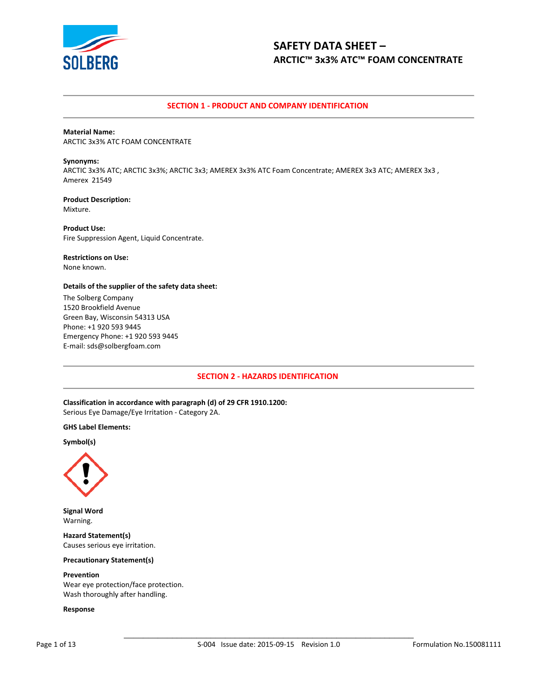

## **SECTION 1 - PRODUCT AND COMPANY IDENTIFICATION**

#### **Material Name:**

ARCTIC 3x3% ATC FOAM CONCENTRATE

#### **Synonyms:**

ARCTIC 3x3% ATC; ARCTIC 3x3%; ARCTIC 3x3; AMEREX 3x3% ATC Foam Concentrate; AMEREX 3x3 ATC; AMEREX 3x3 , Amerex 21549

#### **Product Description:** Mixture.

**Product Use:** Fire Suppression Agent, Liquid Concentrate.

#### **Restrictions on Use:**

None known.

#### **Details of the supplier of the safety data sheet:**

The Solberg Company 1520 Brookfield Avenue Green Bay, Wisconsin 54313 USA Phone: +1 920 593 9445 Emergency Phone: +1 920 593 9445 E-mail: sds@solbergfoam.com

## **SECTION 2 - HAZARDS IDENTIFICATION**

**Classification in accordance with paragraph (d) of 29 CFR 1910.1200:** Serious Eye Damage/Eye Irritation - Category 2A.

#### **GHS Label Elements:**

#### **Symbol(s)**



**Signal Word** Warning.

**Hazard Statement(s)** Causes serious eye irritation.

#### **Precautionary Statement(s)**

#### **Prevention** Wear eye protection/face protection. Wash thoroughly after handling.

#### **Response**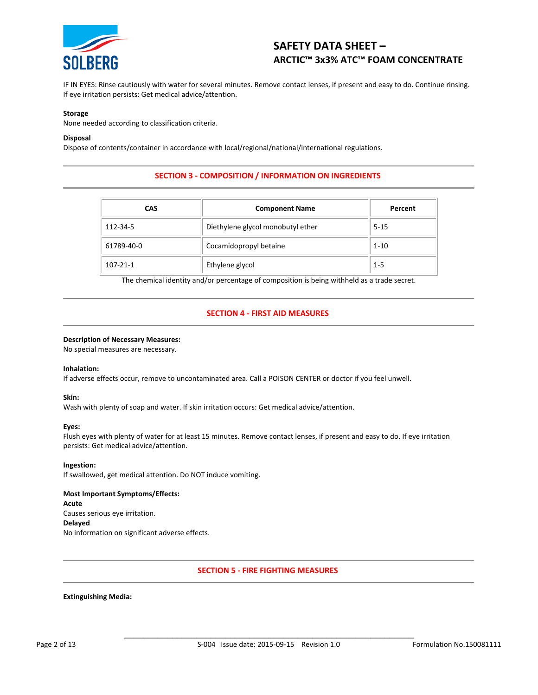

IF IN EYES: Rinse cautiously with water for several minutes. Remove contact lenses, if present and easy to do. Continue rinsing. If eye irritation persists: Get medical advice/attention.

#### **Storage**

None needed according to classification criteria.

#### **Disposal**

Dispose of contents/container in accordance with local/regional/national/international regulations.

## **SECTION 3 - COMPOSITION / INFORMATION ON INGREDIENTS**

| <b>CAS</b>     | <b>Component Name</b>             | Percent  |  |  |
|----------------|-----------------------------------|----------|--|--|
| 112-34-5       | Diethylene glycol monobutyl ether | $5 - 15$ |  |  |
| 61789-40-0     | Cocamidopropyl betaine            | $1 - 10$ |  |  |
| $107 - 21 - 1$ | Ethylene glycol                   | $1 - 5$  |  |  |

The chemical identity and/or percentage of composition is being withheld as a trade secret.

## **SECTION 4 - FIRST AID MEASURES**

#### **Description of Necessary Measures:**

No special measures are necessary.

#### **Inhalation:**

If adverse effects occur, remove to uncontaminated area. Call a POISON CENTER or doctor if you feel unwell.

#### **Skin:**

Wash with plenty of soap and water. If skin irritation occurs: Get medical advice/attention.

#### **Eyes:**

Flush eyes with plenty of water for at least 15 minutes. Remove contact lenses, if present and easy to do. If eye irritation persists: Get medical advice/attention.

**Ingestion:**

If swallowed, get medical attention. Do NOT induce vomiting.

#### **Most Important Symptoms/Effects:**

**Acute** Causes serious eye irritation. **Delayed** No information on significant adverse effects.

#### **SECTION 5 - FIRE FIGHTING MEASURES**

#### **Extinguishing Media:**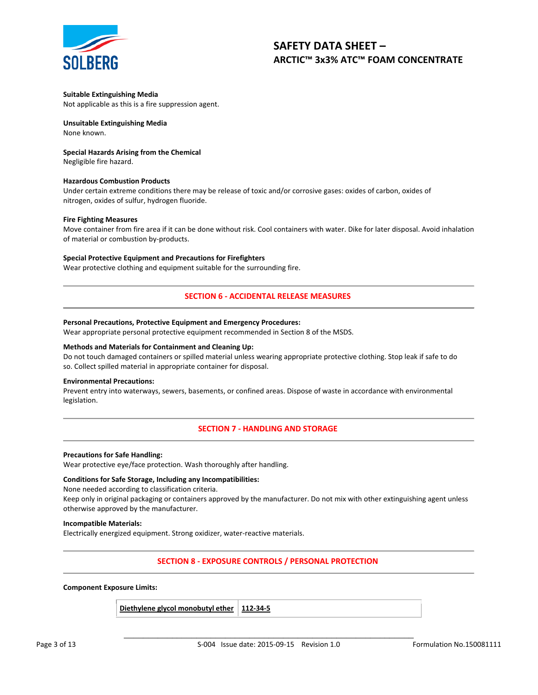

#### **Suitable Extinguishing Media**

Not applicable as this is a fire suppression agent.

## **Unsuitable Extinguishing Media**

None known.

### **Special Hazards Arising from the Chemical**

Negligible fire hazard.

#### **Hazardous Combustion Products**

Under certain extreme conditions there may be release of toxic and/or corrosive gases: oxides of carbon, oxides of nitrogen, oxides of sulfur, hydrogen fluoride.

#### **Fire Fighting Measures**

Move container from fire area if it can be done without risk. Cool containers with water. Dike for later disposal. Avoid inhalation of material or combustion by-products.

#### **Special Protective Equipment and Precautions for Firefighters**

Wear protective clothing and equipment suitable for the surrounding fire.

## **SECTION 6 - ACCIDENTAL RELEASE MEASURES**

#### **Personal Precautions, Protective Equipment and Emergency Procedures:**

Wear appropriate personal protective equipment recommended in Section 8 of the MSDS.

#### **Methods and Materials for Containment and Cleaning Up:**

Do not touch damaged containers or spilled material unless wearing appropriate protective clothing. Stop leak if safe to do so. Collect spilled material in appropriate container for disposal.

#### **Environmental Precautions:**

Prevent entry into waterways, sewers, basements, or confined areas. Dispose of waste in accordance with environmental legislation.

## **SECTION 7 - HANDLING AND STORAGE**

#### **Precautions for Safe Handling:**

Wear protective eye/face protection. Wash thoroughly after handling.

#### **Conditions for Safe Storage, Including any Incompatibilities:**

None needed according to classification criteria.

Keep only in original packaging or containers approved by the manufacturer. Do not mix with other extinguishing agent unless otherwise approved by the manufacturer.

#### **Incompatible Materials:**

Electrically energized equipment. Strong oxidizer, water-reactive materials.

## **SECTION 8 - EXPOSURE CONTROLS / PERSONAL PROTECTION**

#### **Component Exposure Limits:**

| Diethylene glycol monobutyl ether   112-34-5 |  |  |
|----------------------------------------------|--|--|
|----------------------------------------------|--|--|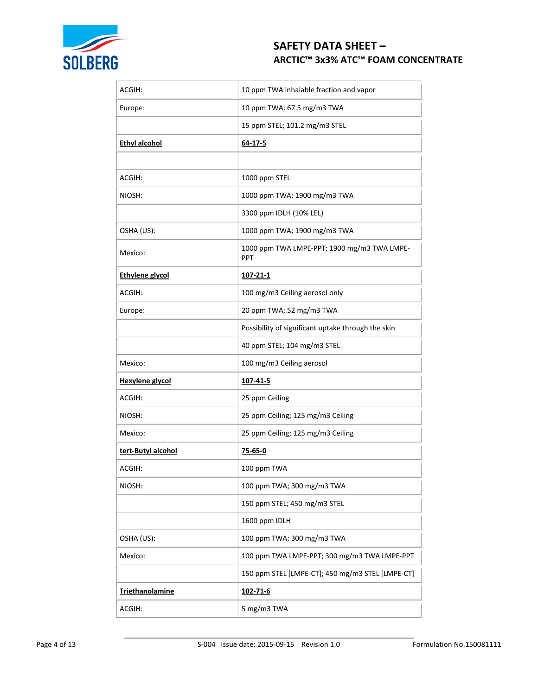

| ACGIH:                 | 10 ppm TWA inhalable fraction and vapor                   |
|------------------------|-----------------------------------------------------------|
| Europe:                | 10 ppm TWA; 67.5 mg/m3 TWA                                |
|                        | 15 ppm STEL; 101.2 mg/m3 STEL                             |
| <b>Ethyl alcohol</b>   | 64-17-5                                                   |
|                        |                                                           |
| ACGIH:                 | 1000 ppm STEL                                             |
| NIOSH:                 | 1000 ppm TWA; 1900 mg/m3 TWA                              |
|                        | 3300 ppm IDLH (10% LEL)                                   |
| OSHA (US):             | 1000 ppm TWA; 1900 mg/m3 TWA                              |
| Mexico:                | 1000 ppm TWA LMPE-PPT; 1900 mg/m3 TWA LMPE-<br><b>PPT</b> |
| <b>Ethylene glycol</b> | 107-21-1                                                  |
| ACGIH:                 | 100 mg/m3 Ceiling aerosol only                            |
| Europe:                | 20 ppm TWA; 52 mg/m3 TWA                                  |
|                        | Possibility of significant uptake through the skin        |
|                        | 40 ppm STEL; 104 mg/m3 STEL                               |
| Mexico:                | 100 mg/m3 Ceiling aerosol                                 |
| <b>Hexylene glycol</b> | 107-41-5                                                  |
| ACGIH:                 | 25 ppm Ceiling                                            |
| NIOSH:                 | 25 ppm Ceiling; 125 mg/m3 Ceiling                         |
| Mexico:                | 25 ppm Ceiling; 125 mg/m3 Ceiling                         |
| tert-Butyl alcohol     | <u>75-65-0</u>                                            |
| ACGIH:                 | 100 ppm TWA                                               |
| NIOSH:                 | 100 ppm TWA; 300 mg/m3 TWA                                |
|                        | 150 ppm STEL; 450 mg/m3 STEL                              |
|                        | 1600 ppm IDLH                                             |
| OSHA (US):             | 100 ppm TWA; 300 mg/m3 TWA                                |
| Mexico:                | 100 ppm TWA LMPE-PPT; 300 mg/m3 TWA LMPE-PPT              |
|                        | 150 ppm STEL [LMPE-CT]; 450 mg/m3 STEL [LMPE-CT]          |
| <b>Triethanolamine</b> | 102-71-6                                                  |
| ACGIH:                 | 5 mg/m3 TWA                                               |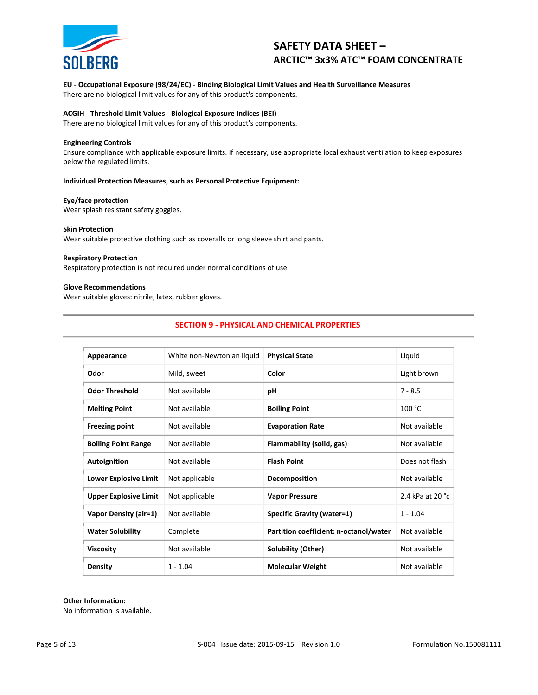

#### **EU - Occupational Exposure (98/24/EC) - Binding Biological Limit Values and Health Surveillance Measures** There are no biological limit values for any of this product's components.

## **ACGIH - Threshold Limit Values - Biological Exposure Indices (BEI)**

There are no biological limit values for any of this product's components.

#### **Engineering Controls**

Ensure compliance with applicable exposure limits. If necessary, use appropriate local exhaust ventilation to keep exposures below the regulated limits.

#### **Individual Protection Measures, such as Personal Protective Equipment:**

#### **Eye/face protection**

Wear splash resistant safety goggles.

#### **Skin Protection**

Wear suitable protective clothing such as coveralls or long sleeve shirt and pants.

#### **Respiratory Protection**

Respiratory protection is not required under normal conditions of use.

#### **Glove Recommendations**

Wear suitable gloves: nitrile, latex, rubber gloves.

## **SECTION 9 - PHYSICAL AND CHEMICAL PROPERTIES**

| Appearance                   | White non-Newtonian liquid | <b>Physical State</b>                  | Liquid           |  |
|------------------------------|----------------------------|----------------------------------------|------------------|--|
| Odor                         | Mild, sweet                | Color                                  | Light brown      |  |
| <b>Odor Threshold</b>        | Not available              | рH                                     | $7 - 8.5$        |  |
| <b>Melting Point</b>         | Not available              | <b>Boiling Point</b>                   | 100 °C           |  |
| <b>Freezing point</b>        | Not available              | <b>Evaporation Rate</b>                | Not available    |  |
| <b>Boiling Point Range</b>   | Not available              | Flammability (solid, gas)              | Not available    |  |
| Autoignition                 | Not available              | <b>Flash Point</b>                     | Does not flash   |  |
| <b>Lower Explosive Limit</b> | Not applicable             | Decomposition                          | Not available    |  |
| <b>Upper Explosive Limit</b> | Not applicable             | <b>Vapor Pressure</b>                  | 2.4 kPa at 20 °C |  |
| Vapor Density (air=1)        | Not available              | <b>Specific Gravity (water=1)</b>      | $1 - 1.04$       |  |
| <b>Water Solubility</b>      | Complete                   | Partition coefficient: n-octanol/water | Not available    |  |
| <b>Viscosity</b>             | Not available              | Solubility (Other)                     | Not available    |  |
| <b>Density</b>               | $1 - 1.04$                 | <b>Molecular Weight</b>                | Not available    |  |

## **Other Information:**

No information is available.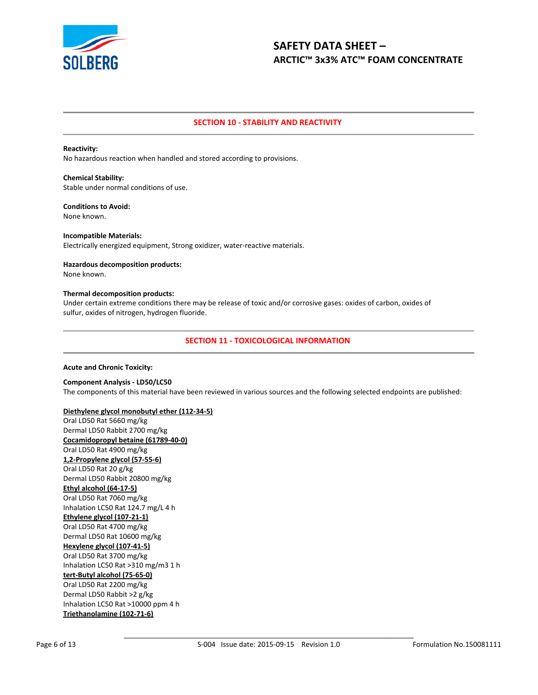

## **SECTION 10 - STABILITY AND REACTIVITY**

#### **Reactivity:**

No hazardous reaction when handled and stored according to provisions.

**Chemical Stability:** Stable under normal conditions of use.

## **Conditions to Avoid:**

None known.

**Incompatible Materials:** Electrically energized equipment, Strong oxidizer, water-reactive materials.

#### **Hazardous decomposition products:** None known.

#### **Thermal decomposition products:**

Under certain extreme conditions there may be release of toxic and/or corrosive gases: oxides of carbon, oxides of sulfur, oxides of nitrogen, hydrogen fluoride.

## **SECTION 11 - TOXICOLOGICAL INFORMATION**

#### **Acute and Chronic Toxicity:**

**Component Analysis - LD50/LC50** The components of this material have been reviewed in various sources and the following selected endpoints are published:

## **Diethylene glycol monobutyl ether (112-34-5)**

Oral LD50 Rat 5660 mg/kg Dermal LD50 Rabbit 2700 mg/kg **Cocamidopropyl betaine (61789-40-0)** Oral LD50 Rat 4900 mg/kg **1,2-Propylene glycol (57-55-6)** Oral LD50 Rat 20 g/kg Dermal LD50 Rabbit 20800 mg/kg **Ethyl alcohol (64-17-5)** Oral LD50 Rat 7060 mg/kg Inhalation LC50 Rat 124.7 mg/L 4 h **Ethylene glycol (107-21-1)** Oral LD50 Rat 4700 mg/kg Dermal LD50 Rat 10600 mg/kg **Hexylene glycol (107-41-5)** Oral LD50 Rat 3700 mg/kg Inhalation LC50 Rat >310 mg/m3 1 h **tert-Butyl alcohol (75-65-0)** Oral LD50 Rat 2200 mg/kg Dermal LD50 Rabbit >2 g/kg

Inhalation LC50 Rat >10000 ppm 4 h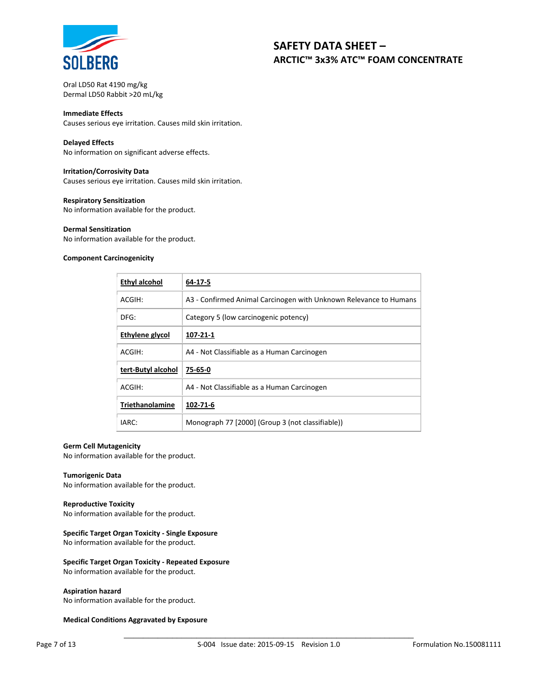

Oral LD50 Rat 4190 mg/kg Dermal LD50 Rabbit >20 mL/kg

#### **Immediate Effects**

Causes serious eye irritation. Causes mild skin irritation.

#### **Delayed Effects**

No information on significant adverse effects.

#### **Irritation/Corrosivity Data**

Causes serious eye irritation. Causes mild skin irritation.

#### **Respiratory Sensitization**

No information available for the product.

#### **Dermal Sensitization**

No information available for the product.

### **Component Carcinogenicity**

| <b>Ethyl alcohol</b> | 64-17-5                                                           |
|----------------------|-------------------------------------------------------------------|
| ACGIH:               | A3 - Confirmed Animal Carcinogen with Unknown Relevance to Humans |
| DFG:                 | Category 5 (low carcinogenic potency)                             |
| Ethylene glycol      | 107-21-1                                                          |
| ACGIH:               | A4 - Not Classifiable as a Human Carcinogen                       |
| tert-Butyl alcohol   | 75-65-0                                                           |
| ACGIH:               | A4 - Not Classifiable as a Human Carcinogen                       |
| Triethanolamine      | 102-71-6                                                          |
| IARC:                | Monograph 77 [2000] (Group 3 (not classifiable))                  |

#### **Germ Cell Mutagenicity**

No information available for the product.

#### **Tumorigenic Data**

No information available for the product.

#### **Reproductive Toxicity**

No information available for the product.

#### **Specific Target Organ Toxicity - Single Exposure**

No information available for the product.

#### **Specific Target Organ Toxicity - Repeated Exposure**

No information available for the product.

#### **Aspiration hazard**

No information available for the product.

#### **Medical Conditions Aggravated by Exposure**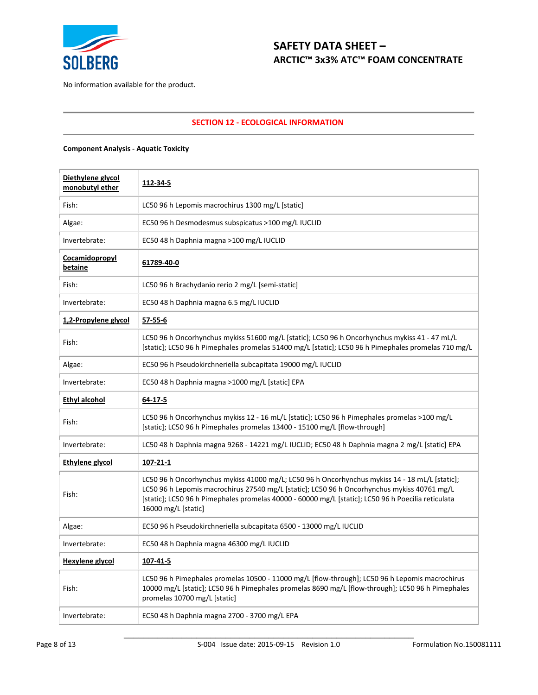

No information available for the product.

## **SECTION 12 - ECOLOGICAL INFORMATION**

## **Component Analysis - Aquatic Toxicity**

| Diethylene glycol<br>monobutyl ether | 112-34-5                                                                                                                                                                                                                                                                                                                   |
|--------------------------------------|----------------------------------------------------------------------------------------------------------------------------------------------------------------------------------------------------------------------------------------------------------------------------------------------------------------------------|
| Fish:                                | LC50 96 h Lepomis macrochirus 1300 mg/L [static]                                                                                                                                                                                                                                                                           |
| Algae:                               | EC50 96 h Desmodesmus subspicatus >100 mg/L IUCLID                                                                                                                                                                                                                                                                         |
| Invertebrate:                        | EC50 48 h Daphnia magna >100 mg/L IUCLID                                                                                                                                                                                                                                                                                   |
| <b>Cocamidopropyl</b><br>betaine     | 61789-40-0                                                                                                                                                                                                                                                                                                                 |
| Fish:                                | LC50 96 h Brachydanio rerio 2 mg/L [semi-static]                                                                                                                                                                                                                                                                           |
| Invertebrate:                        | EC50 48 h Daphnia magna 6.5 mg/L IUCLID                                                                                                                                                                                                                                                                                    |
| 1,2-Propylene glycol                 | $57 - 55 - 6$                                                                                                                                                                                                                                                                                                              |
| Fish:                                | LC50 96 h Oncorhynchus mykiss 51600 mg/L [static]; LC50 96 h Oncorhynchus mykiss 41 - 47 mL/L<br>[static]; LC50 96 h Pimephales promelas 51400 mg/L [static]; LC50 96 h Pimephales promelas 710 mg/L                                                                                                                       |
| Algae:                               | EC50 96 h Pseudokirchneriella subcapitata 19000 mg/L IUCLID                                                                                                                                                                                                                                                                |
| Invertebrate:                        | EC50 48 h Daphnia magna >1000 mg/L [static] EPA                                                                                                                                                                                                                                                                            |
| Ethyl alcohol                        | 64-17-5                                                                                                                                                                                                                                                                                                                    |
| Fish:                                | LC50 96 h Oncorhynchus mykiss 12 - 16 mL/L [static]; LC50 96 h Pimephales promelas >100 mg/L<br>[static]; LC50 96 h Pimephales promelas 13400 - 15100 mg/L [flow-through]                                                                                                                                                  |
| Invertebrate:                        | LC50 48 h Daphnia magna 9268 - 14221 mg/L IUCLID; EC50 48 h Daphnia magna 2 mg/L [static] EPA                                                                                                                                                                                                                              |
| <b>Ethylene glycol</b>               | 107-21-1                                                                                                                                                                                                                                                                                                                   |
| Fish:                                | LC50 96 h Oncorhynchus mykiss 41000 mg/L; LC50 96 h Oncorhynchus mykiss 14 - 18 mL/L [static];<br>LC50 96 h Lepomis macrochirus 27540 mg/L [static]; LC50 96 h Oncorhynchus mykiss 40761 mg/L<br>[static]; LC50 96 h Pimephales promelas 40000 - 60000 mg/L [static]; LC50 96 h Poecilia reticulata<br>16000 mg/L [static] |
| Algae:                               | EC50 96 h Pseudokirchneriella subcapitata 6500 - 13000 mg/L IUCLID                                                                                                                                                                                                                                                         |
| Invertebrate:                        | EC50 48 h Daphnia magna 46300 mg/L IUCLID                                                                                                                                                                                                                                                                                  |
| <b>Hexylene glycol</b>               | 107-41-5                                                                                                                                                                                                                                                                                                                   |
| Fish:                                | LC50 96 h Pimephales promelas 10500 - 11000 mg/L [flow-through]; LC50 96 h Lepomis macrochirus<br>10000 mg/L [static]; LC50 96 h Pimephales promelas 8690 mg/L [flow-through]; LC50 96 h Pimephales<br>promelas 10700 mg/L [static]                                                                                        |
| Invertebrate:                        | EC50 48 h Daphnia magna 2700 - 3700 mg/L EPA                                                                                                                                                                                                                                                                               |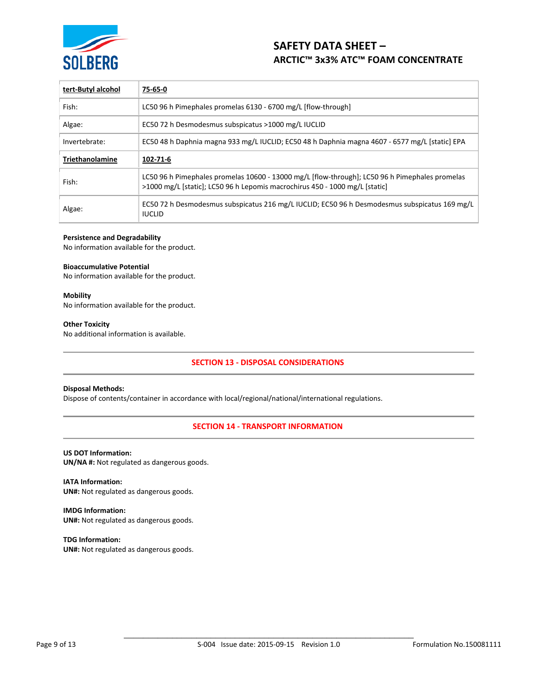

| tert-Butyl alcohol     | 75-65-0                                                                                                                                                                       |
|------------------------|-------------------------------------------------------------------------------------------------------------------------------------------------------------------------------|
| Fish:                  | LC50 96 h Pimephales promelas 6130 - 6700 mg/L [flow-through]                                                                                                                 |
| Algae:                 | EC50 72 h Desmodesmus subspicatus >1000 mg/L IUCLID                                                                                                                           |
| Invertebrate:          | EC50 48 h Daphnia magna 933 mg/L IUCLID; EC50 48 h Daphnia magna 4607 - 6577 mg/L [static] EPA                                                                                |
| <b>Triethanolamine</b> | 102-71-6                                                                                                                                                                      |
| Fish:                  | LC50 96 h Pimephales promelas 10600 - 13000 mg/L [flow-through]; LC50 96 h Pimephales promelas<br>>1000 mg/L [static]; LC50 96 h Lepomis macrochirus 450 - 1000 mg/L [static] |
| Algae:                 | EC50 72 h Desmodesmus subspicatus 216 mg/L IUCLID; EC50 96 h Desmodesmus subspicatus 169 mg/L<br><b>IUCLID</b>                                                                |

#### **Persistence and Degradability**

No information available for the product.

#### **Bioaccumulative Potential**

No information available for the product.

#### **Mobility**

No information available for the product.

#### **Other Toxicity**

No additional information is available.

## **SECTION 13 - DISPOSAL CONSIDERATIONS**

#### **Disposal Methods:**

Dispose of contents/container in accordance with local/regional/national/international regulations.

#### **SECTION 14 - TRANSPORT INFORMATION**

#### **US DOT Information:**

**UN/NA #:** Not regulated as dangerous goods.

**IATA Information: UN#:** Not regulated as dangerous goods.

**IMDG Information: UN#:** Not regulated as dangerous goods.

**TDG Information: UN#:** Not regulated as dangerous goods.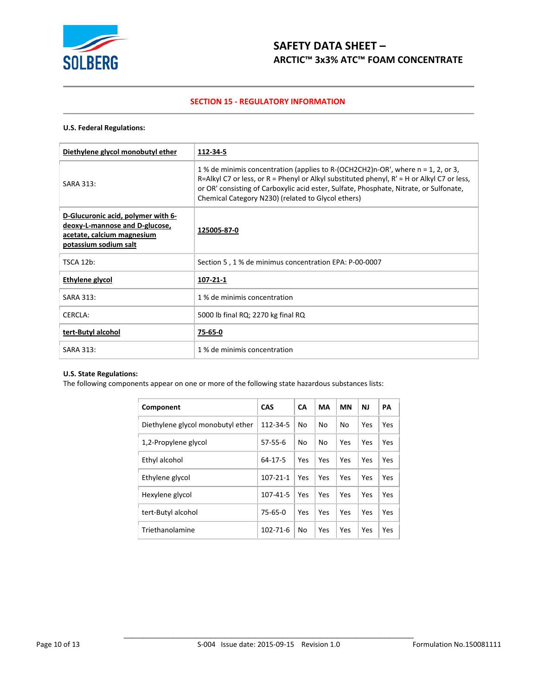

## **SECTION 15 - REGULATORY INFORMATION**

### **U.S. Federal Regulations:**

| Diethylene glycol monobutyl ether                                                                                           | 112-34-5                                                                                                                                                                                                                                                                                                                         |
|-----------------------------------------------------------------------------------------------------------------------------|----------------------------------------------------------------------------------------------------------------------------------------------------------------------------------------------------------------------------------------------------------------------------------------------------------------------------------|
| SARA 313:                                                                                                                   | 1 % de minimis concentration (applies to R-(OCH2CH2)n-OR', where n = 1, 2, or 3,<br>R=Alkyl C7 or less, or R = Phenyl or Alkyl substituted phenyl, $R' = H$ or Alkyl C7 or less,<br>or OR' consisting of Carboxylic acid ester, Sulfate, Phosphate, Nitrate, or Sulfonate,<br>Chemical Category N230) (related to Glycol ethers) |
| D-Glucuronic acid, polymer with 6-<br>deoxy-L-mannose and D-glucose,<br>acetate, calcium magnesium<br>potassium sodium salt | 125005-87-0                                                                                                                                                                                                                                                                                                                      |
| <b>TSCA 12b:</b>                                                                                                            | Section 5, 1 % de minimus concentration EPA: P-00-0007                                                                                                                                                                                                                                                                           |
| Ethylene glycol                                                                                                             | 107-21-1                                                                                                                                                                                                                                                                                                                         |
| SARA 313:                                                                                                                   | 1 % de minimis concentration                                                                                                                                                                                                                                                                                                     |
| <b>CERCLA:</b>                                                                                                              | 5000 lb final RQ; 2270 kg final RQ                                                                                                                                                                                                                                                                                               |
| tert-Butyl alcohol                                                                                                          | 75-65-0                                                                                                                                                                                                                                                                                                                          |
| SARA 313:                                                                                                                   | 1 % de minimis concentration                                                                                                                                                                                                                                                                                                     |

## **U.S. State Regulations:**

The following components appear on one or more of the following state hazardous substances lists:

| Component                         | CAS            | <b>CA</b> | MA  | <b>MN</b> | NJ  | PA  |
|-----------------------------------|----------------|-----------|-----|-----------|-----|-----|
| Diethylene glycol monobutyl ether | 112-34-5       | No        | No  | No        | Yes | Yes |
| 1,2-Propylene glycol              | $57 - 55 - 6$  | No        | No  | Yes       | Yes | Yes |
| Ethyl alcohol                     | 64-17-5        | Yes       | Yes | Yes       | Yes | Yes |
| Ethylene glycol                   | $107 - 21 - 1$ | Yes       | Yes | Yes       | Yes | Yes |
| Hexylene glycol                   | 107-41-5       | Yes       | Yes | Yes       | Yes | Yes |
| tert-Butyl alcohol                | 75-65-0        | Yes       | Yes | Yes       | Yes | Yes |
| Triethanolamine                   | $102 - 71 - 6$ | No        | Yes | Yes       | Yes | Yes |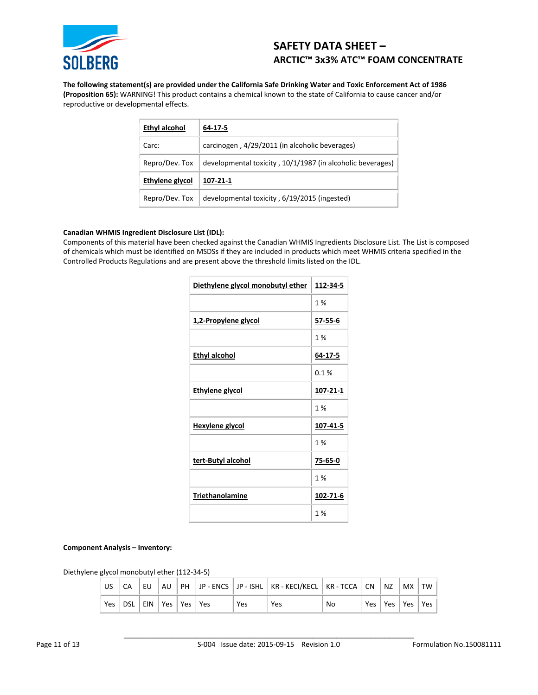

**The following statement(s) are provided under the California Safe Drinking Water and Toxic Enforcement Act of 1986 (Proposition 65):** WARNING! This product contains a chemical known to the state of California to cause cancer and/or reproductive or developmental effects.

| Ethyl alcohol   | 64-17-5                                                    |
|-----------------|------------------------------------------------------------|
| Carc:           | carcinogen, 4/29/2011 (in alcoholic beverages)             |
| Repro/Dev. Tox  | developmental toxicity, 10/1/1987 (in alcoholic beverages) |
| Ethylene glycol | 107-21-1                                                   |
| Repro/Dev. Tox  | developmental toxicity, 6/19/2015 (ingested)               |

## **Canadian WHMIS Ingredient Disclosure List (IDL):**

Components of this material have been checked against the Canadian WHMIS Ingredients Disclosure List. The List is composed of chemicals which must be identified on MSDSs if they are included in products which meet WHMIS criteria specified in the Controlled Products Regulations and are present above the threshold limits listed on the IDL.

| Diethylene glycol monobutyl ether | 112-34-5       |
|-----------------------------------|----------------|
|                                   | 1 %            |
| 1,2-Propylene glycol              | <u>57-55-6</u> |
|                                   | 1 %            |
| <b>Ethyl alcohol</b>              | 64-17-5        |
|                                   | 0.1%           |
| <b>Ethylene glycol</b>            | 107-21-1       |
|                                   | 1 %            |
| <b>Hexylene glycol</b>            | 107-41-5       |
|                                   | 1%             |
| tert-Butyl alcohol                | 75-65-0        |
|                                   | 1%             |
| Triethanolamine                   | 102-71-6       |
|                                   | 1%             |

#### **Component Analysis – Inventory:**

Diethylene glycol monobutyl ether (112-34-5)

| US         | EU.                       |  |     | AU   PH   JP - ENCS   JP - ISHL   KR - KECI/KECL   KR - TCCA   CN |    |     | l NZ | $ $ MX $ $ TW   |  |
|------------|---------------------------|--|-----|-------------------------------------------------------------------|----|-----|------|-----------------|--|
| <b>Yes</b> | DSL EIN   Yes   Yes   Yes |  | Yes | Yes                                                               | No | Yes |      | Yes   Yes   Yes |  |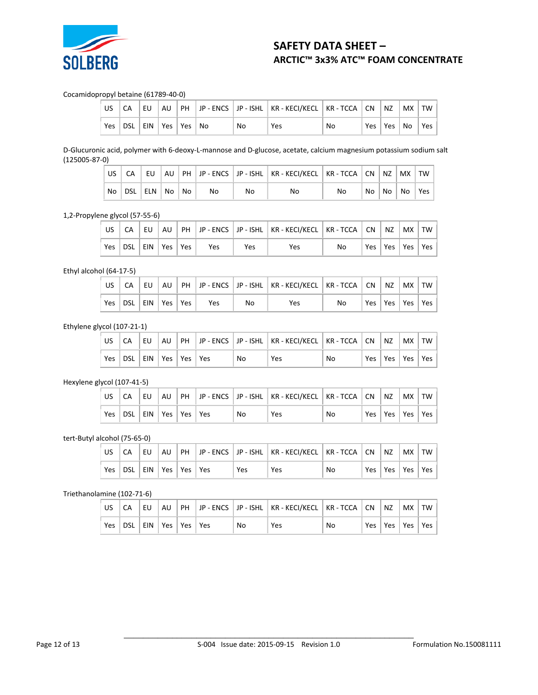

## Cocamidopropyl betaine (61789-40-0)

|     |                            | EU |  |    | AU   PH   JP - ENCS   JP - ISHL   KR - KECI/KECL   KR - TCCA   CN   NZ |    |  | MX   TW              |  |
|-----|----------------------------|----|--|----|------------------------------------------------------------------------|----|--|----------------------|--|
| Yes | DSL   EIN   Yes   Yes   No |    |  | No | Yes                                                                    | No |  | Yes   Yes   No   Yes |  |

D-Glucuronic acid, polymer with 6-deoxy-L-mannose and D-glucose, acetate, calcium magnesium potassium sodium salt (125005-87-0)

| US.              |                  |  |    |    | CA EU AU PH JP - ENCS JP - ISHL KR - KECI/KECL KR - TCCA CN NZ MX TW |    |  |                    |  |
|------------------|------------------|--|----|----|----------------------------------------------------------------------|----|--|--------------------|--|
| ∴No <sup>∣</sup> | DSL ELN No No No |  | No | No | No                                                                   | Nο |  | No   No   No   Yes |  |

1,2-Propylene glycol (57-55-6)

| $\mathsf{US}$ $\mathsf{I}$ |  |  |                                   |     | CA    EU    AU    PH    JP - ENCS    JP - ISHL    KR - KECI/KECL    KR - TCCA    CN    NZ    MX    TW |    |                       |  |
|----------------------------|--|--|-----------------------------------|-----|-------------------------------------------------------------------------------------------------------|----|-----------------------|--|
|                            |  |  | Yes   DSL   EIN   Yes   Yes   Yes | Yes | Yes                                                                                                   | No | Yes   Yes   Yes   Yes |  |

Ethyl alcohol (64-17-5)

| CA                          |  |     |    | EU   AU   PH   JP - ENCS   JP - ISHL   KR - KECI/KECL   KR - TCCA   CN   NZ   MX   TW |    |  |                       |  |
|-----------------------------|--|-----|----|---------------------------------------------------------------------------------------|----|--|-----------------------|--|
| Yes   DSL   EIN   Yes   Yes |  | Yes | No | Yes                                                                                   | No |  | Yes   Yes   Yes   Yes |  |

### Ethylene glycol (107-21-1)

|            |                     | l EU i |  |    | AU   PH   JP - ENCS   JP - ISHL   KR - KECI/KECL   KR - TCCA   CN   NZ |    |                       | $ $ MX $ $ TW $ $ |  |
|------------|---------------------|--------|--|----|------------------------------------------------------------------------|----|-----------------------|-------------------|--|
| <b>Yes</b> | DSL EIN Yes Yes Yes |        |  | No | Yes                                                                    | No | Yes   Yes   Yes   Yes |                   |  |

## Hexylene glycol (107-41-5)

| CA                      |  |  |    | EU   AU   PH   JP - ENCS   JP - ISHL   KR - KECI/KECL   KR - TCCA   CN   NZ   MX   TW |    |  |                       |  |
|-------------------------|--|--|----|---------------------------------------------------------------------------------------|----|--|-----------------------|--|
| Yes DSL EIN Yes Yes Yes |  |  | No | Yes                                                                                   | No |  | Yes   Yes   Yes   Yes |  |

## tert-Butyl alcohol (75-65-0)

| US   |                             | EU |  |            | AU   PH   JP - ENCS   JP - ISHL   KR - KECI/KECL   KR - TCCA   CN   NZ |    |                       | MX TW |  |
|------|-----------------------------|----|--|------------|------------------------------------------------------------------------|----|-----------------------|-------|--|
| Yes. | DSL   EIN   Yes   Yes   Yes |    |  | <b>Yes</b> | Yes                                                                    | No | Yes   Yes   Yes   Yes |       |  |

## Triethanolamine (102-71-6)

| ' US∶ | . CA                              | ‼ EU ∴ |  |    | AU   PH   JP - ENCS   JP - ISHL   KR - KECI/KECL   KR - TCCA   CN   NZ |    |  | MX   TW |                       |
|-------|-----------------------------------|--------|--|----|------------------------------------------------------------------------|----|--|---------|-----------------------|
|       | Yes   DSL   EIN   Yes   Yes   Yes |        |  | No | Yes                                                                    | No |  |         | Yes   Yes   Yes   Yes |